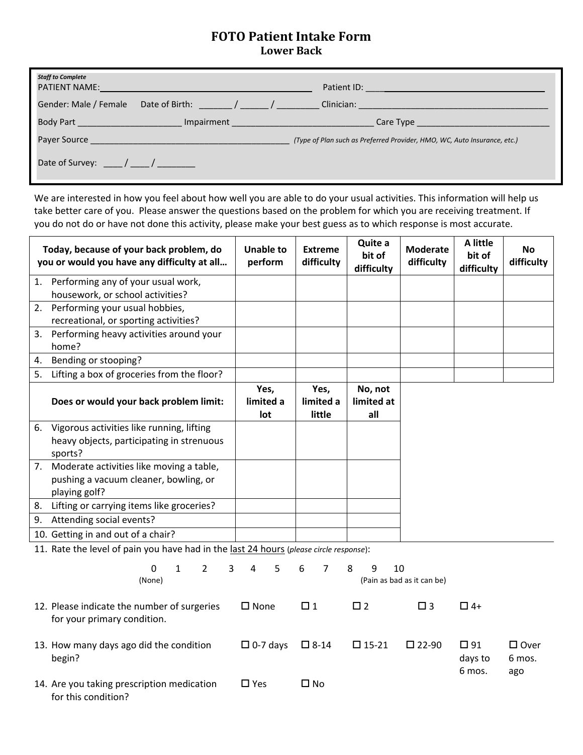## **FOTO Patient Intake Form Lower Back**

| <b>Staff to Complete</b>                                             | <b>PATIENT NAME:</b> And the state of the state of the state of the state of the state of the state of the state of the state of the state of the state of the state of the state of the state of the state of the state of the sta |                                                                          |
|----------------------------------------------------------------------|-------------------------------------------------------------------------------------------------------------------------------------------------------------------------------------------------------------------------------------|--------------------------------------------------------------------------|
|                                                                      | Gender: Male / Female Date of Birth: The Manus / The Male / The Male of Birth:                                                                                                                                                      | Clinician: <u>_________________________________</u>                      |
| Body Part _____________________                                      | Impairment                                                                                                                                                                                                                          |                                                                          |
|                                                                      |                                                                                                                                                                                                                                     | (Type of Plan such as Preferred Provider, HMO, WC, Auto Insurance, etc.) |
| Date of Survey: $\frac{1}{\sqrt{1-\frac{1}{2}}}\sqrt{1-\frac{1}{2}}$ |                                                                                                                                                                                                                                     |                                                                          |

We are interested in how you feel about how well you are able to do your usual activities. This information will help us take better care of you. Please answer the questions based on the problem for which you are receiving treatment. If you do not do or have not done this activity, please make your best guess as to which response is most accurate.

| Today, because of your back problem, do<br>you or would you have any difficulty at all |                                                                         | <b>Unable to</b><br>perform | <b>Extreme</b><br>difficulty | Quite a<br>bit of<br>difficulty | <b>Moderate</b><br>difficulty | A little<br>bit of<br>difficulty | <b>No</b><br>difficulty |  |
|----------------------------------------------------------------------------------------|-------------------------------------------------------------------------|-----------------------------|------------------------------|---------------------------------|-------------------------------|----------------------------------|-------------------------|--|
| 1.                                                                                     | Performing any of your usual work,<br>housework, or school activities?  |                             |                              |                                 |                               |                                  |                         |  |
| 2.                                                                                     | Performing your usual hobbies,<br>recreational, or sporting activities? |                             |                              |                                 |                               |                                  |                         |  |
| 3.                                                                                     | Performing heavy activities around your<br>home?                        |                             |                              |                                 |                               |                                  |                         |  |
| 4.                                                                                     | Bending or stooping?                                                    |                             |                              |                                 |                               |                                  |                         |  |
| 5.                                                                                     | Lifting a box of groceries from the floor?                              |                             |                              |                                 |                               |                                  |                         |  |
|                                                                                        | Does or would your back problem limit:                                  | Yes,<br>limited a<br>lot    | Yes,<br>limited a<br>little  | No, not<br>limited at<br>all    |                               |                                  |                         |  |
|                                                                                        | 6. Vigorous activities like running, lifting                            |                             |                              |                                 |                               |                                  |                         |  |
|                                                                                        | heavy objects, participating in strenuous                               |                             |                              |                                 |                               |                                  |                         |  |
|                                                                                        | sports?                                                                 |                             |                              |                                 |                               |                                  |                         |  |
|                                                                                        | 7. Moderate activities like moving a table,                             |                             |                              |                                 |                               |                                  |                         |  |
| pushing a vacuum cleaner, bowling, or<br>playing golf?                                 |                                                                         |                             |                              |                                 |                               |                                  |                         |  |
| 8.                                                                                     | Lifting or carrying items like groceries?                               |                             |                              |                                 |                               |                                  |                         |  |
| 9.                                                                                     | Attending social events?                                                |                             |                              |                                 |                               |                                  |                         |  |
|                                                                                        | 10. Getting in and out of a chair?                                      |                             |                              |                                 |                               |                                  |                         |  |
| 11. Rate the level of pain you have had in the last 24 hours (please circle response): |                                                                         |                             |                              |                                 |                               |                                  |                         |  |
|                                                                                        | $\overline{3}$<br>$\Omega$<br>$\mathbf{1}$<br>$\overline{2}$<br>(None)  | $\overline{4}$<br>5         | 6<br>$\overline{7}$          | 8<br>9<br>10                    | (Pain as bad as it can be)    |                                  |                         |  |
| 12. Please indicate the number of surgeries<br>for your primary condition.             |                                                                         | $\square$ None              | $\Box$ 1                     | $\square$ 2                     | $\square$ 3                   | $\Box$ 4+                        |                         |  |
|                                                                                        | 13. How many days ago did the condition                                 | $\Box$ 0-7 days             | $\square$ 8-14               | $\square$ 15-21                 | $\square$ 22-90               | $\square$ 91                     | $\square$ Over          |  |

days to 6 mos.

6 mos. ago

|                                            |               |      | U IIIUS. |
|--------------------------------------------|---------------|------|----------|
| 14. Are you taking prescription medication | $\square$ Yes | Π No |          |
| for this condition?                        |               |      |          |

begin?